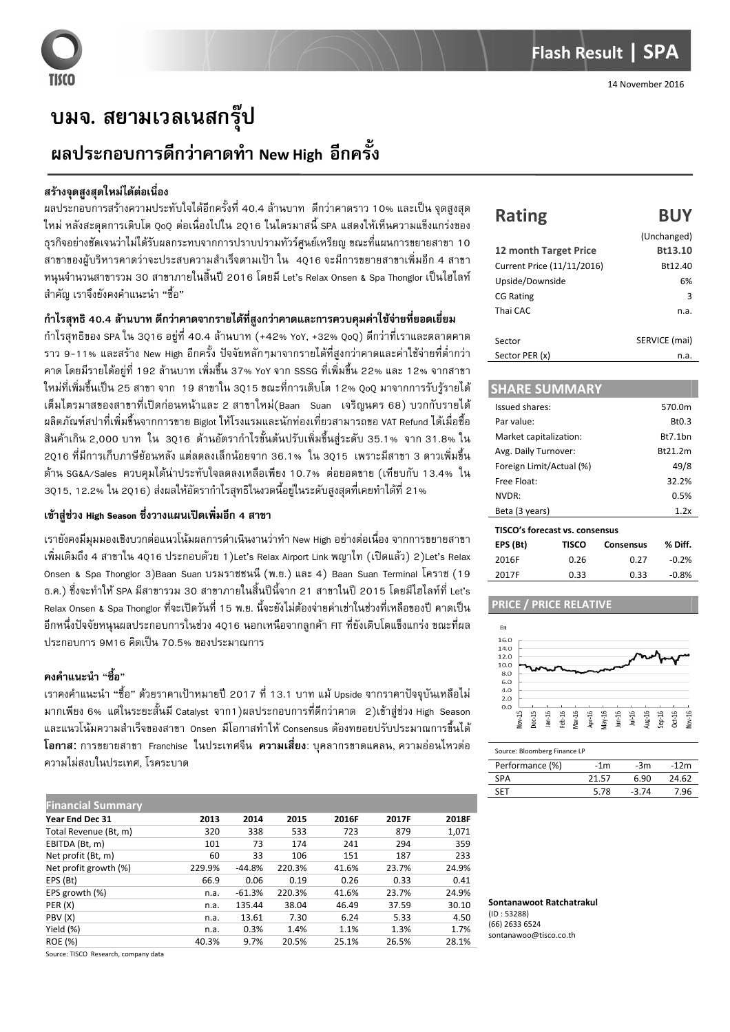# บมจ. สยามเวลเนสกรุ๊ป

## ผลประกอบการดีกว่าคาดทำ New High อีกครั้ง

#### สร้างจุดสูงสุดใหม่ได้ต่อเนื่อง

ผลประกอบการสร้างความประทับใจได้อีกครั้งที่ 40.4 ล้านบาท ดีกว่าคาดราว 10% และเป็น จุดสูงสุด ใหม่ หลังสะดุดการเติบโต QoQ ต่อเนื่องไปใน 2Q16 ในไตรมาสนี้ SPA แสดงให้เห็นความแข็งแกร่งของ ธุรกิจอย่างชัดเจนว่าไม่ได้รับผลกระทบจากการปราบปรามทัวร์ศูนย์เหรียญ ขณะที่แผนการขยายสาขา 10  $\,$ สาขาของผู้บริหารคาดว่าจะประสบความสำเร็จตามเป้า ใน 4Q16 จะมีการขยายสาขาเพิ่มอีก 4 สาขา หนุนจำนวนสาขารวม 30 สาขาภายในสิ้นปี 2016 โดยมี Let's Relax Onsen & Spa Thonglor เป็นไฮไลท์ สำคัญ เราจึงยังคงคำแนะนำ "ชื้อ"

### กำไรสุทธิ 40.4 ล้านบาท ดีกว่าคาดจากรายได้ที่สูงกว่าคาดและการควบคุมค่าใช้จ่ายที่ยอดเยี่ยม

กำไรสุทธิของ SPA ใน 3Q16 อยู่ที่ 40.4 ล้านบาท (+42% YoY, +32% QoQ) ดีกว่าที่เราและตลาดคาด ราว 9-11% และสร้าง New High อีกครั้ง ปัจจัยหลักๆมาจากรายได้ที่สูงกว่าคาดและค่าใช้จ่ายที่ต่ำกว่า คาด โดยมีรายได้อยู่ที่ 192 ล้านบาท เพิ่มขึ้น 37% YoY จาก SSSG ที่เพิ่มขึ้น 22% และ 12% จากสาขา ใหม่ที่เพิ่มขึ้นเป็น 25 สาขา จาก 19 สาขาใน 30ฺ15 ขณะที่การเติบโต 12% 0ฺ०0ฺ มาจากการรับรู้รายได้ เต็มไตรมาสของสาขาที่เปิดก่อนหน้าและ 2 สาขาใหม่(Baan Suan เจริญนคร 68) บวกกับรายได้ ผลิตภัณฑ์สปาที่เพิ่มขึ้นจากการขาย Biglot ให้โรงแรมและนักท่องเที่ยวสามารถขอ VAT Refund ได้เมื่อชื้อ สินค้าเกิน 2,000 บาท ใน 3Q16 ด้านอัตรากำไรขั้นต้นปรับเพิ่มขึ้นสู่ระดับ 35.1% จาก 31.8% ใน 2Q16 ที่มีการเก็บภาษีย้อนหลัง แต่ลดลงเล็กน้อยจาก 36.1% ใน 3Q15 เพราะมีสาขา 3 ดาวเพิ่มขึ้น ด้าน SG&A/Sales ควบคุมได้น่าประทับใจลดลงเหลือเพียง 10.7% ต่อยอดขาย (เทียบกับ 13.4% ใน 3Q15, 12.2% ใน 2Q16) ส่งผลให้อัตรากำไรสุทธิในงวดนี้อยู่ในระดับสูงสุดที่เคยทำได้ที่ 21%

#### **เข้าสู่ช่วง High Season ซึ่งวางแผนเปิดเพิ่มอีก 4 สาขา**

เรายังคงมีมุมมองเชิงบวกต่อแนวโน้มผลการดำเนินงานว่าทำ New High อย่างต่อเนื่อง จากการขยายสาขา เพิ่มเติมถึง 4 สาขาใน 40ฺ16 ประกอบด้วย 1 )Let's Relax Airport Link พญาไท (เปิดแล้ว) 2)Let's Relax Onsen & Spa Thonglor 3)Baan Suan บรมราชชนนี (พ.ย.) และ 4) Baan Suan Terminal โคราช (19 ธ.ค.) ซึ่งจะทำให้ SPA มีสาขารวม 30 สาขาภายในสิ้นปีนี้จาก 21 สาขาในปี 2015 โดยมีไฮไลท์ที่ Let's Relax Onsen & Spa Thonglor ที่จะเปิดวันที่ 15 พ.ย. นี้จะยังไม่ต้องจ่ายค่าเช่าในช่วงที่เหลือของปี คาดเป็น อีกหนึ่งปัจจัยหนุนผลประกอบการในช่วง 4Q16 นอกเหนือจากลูกค้า FIT ที่ยังเติบโตแข็งแกร่ง ขณะที่ผล ้ำโระกอบการ 9M16 คิดเป็น 70.5% ของประมาณการ

## ์ คงคำแนะนำ "ซื้อ"

เราคงคำแนะนำ "ชื้อ" ด้วยราคาเป้าหมายปี 2017 ที่ 13.1 บาท แม้ Upside จากราคาปัจจุบันเหลือไม่ มากเพียง 6% แต่ในระยะสั้นมี Catalyst จาก1)ผลประกอบการที่ดีกว่าคาด 2)เข้าสู่ช่วง High Season " และแนวโน้มความสำเร็จของสาขา Onsen มีโอกาสทำให้ Consensus ต้องทยอยปรับประมาณการขึ้นได้ **โอกาส:** การขยายสาขา Franchise ในประเทศจีน **ความเสี่ยง**: บุคลากรขาดแคลน, ความอ่อนไหวต่อ ความไม่สงบในประเทศ, โรคระบาด

| <b>Financial Summary</b> |        |          |        |       |       |       |
|--------------------------|--------|----------|--------|-------|-------|-------|
| Year End Dec 31          | 2013   | 2014     | 2015   | 2016F | 2017F | 2018F |
| Total Revenue (Bt, m)    | 320    | 338      | 533    | 723   | 879   | 1,071 |
| EBITDA (Bt, m)           | 101    | 73       | 174    | 241   | 294   | 359   |
| Net profit (Bt, m)       | 60     | 33       | 106    | 151   | 187   | 233   |
| Net profit growth (%)    | 229.9% | $-44.8%$ | 220.3% | 41.6% | 23.7% | 24.9% |
| EPS (Bt)                 | 66.9   | 0.06     | 0.19   | 0.26  | 0.33  | 0.41  |
| EPS growth (%)           | n.a.   | $-61.3%$ | 220.3% | 41.6% | 23.7% | 24.9% |
| PER (X)                  | n.a.   | 135.44   | 38.04  | 46.49 | 37.59 | 30.10 |
| PBV (X)                  | n.a.   | 13.61    | 7.30   | 6.24  | 5.33  | 4.50  |
| Yield (%)                | n.a.   | 0.3%     | 1.4%   | 1.1%  | 1.3%  | 1.7%  |
| <b>ROE (%)</b>           | 40.3%  | 9.7%     | 20.5%  | 25.1% | 26.5% | 28.1% |

Source: TISCO Research, company data

## **Rating BUY** (Unchanged)

| 12 month Target Price      | Bt13.10       |
|----------------------------|---------------|
| Current Price (11/11/2016) | Bt12.40       |
| Upside/Downside            | 6%            |
| <b>CG Rating</b>           | 3             |
| Thai CAC                   | n.a.          |
|                            |               |
| Sector                     | SERVICE (mai) |
| Sector PER (x)             | n.a.          |

#### **SHARE SUMMARY**  Issued shares: 570.0m Par value: Bt0.3 Market capitalization: Bt7.1bn Avg. Daily Turnover: Bt21.2m Foreign Limit/Actual (%) 49/8 Free Float: 32.2% NVDR: 0.5% Beta (3 years) 1.2x **TISCO's forecast vs. consensus EPS (Bt) TISCO Consensus % Diff.**  2016F 0.26 0.27 -0.2% 2017F 0.33 0.33 -0.8%

#### **PRICE / PRICE RELATIVE**



#### Source: Bloomberg Finance LP

| Performance (%) | -1m   | -3m   | $-12m$ |
|-----------------|-------|-------|--------|
| <b>SPA</b>      | 21.57 | 6.90  | 24.62  |
| <b>SET</b>      | 5.78  | -3.74 | 7.96   |

**Sontanawoot Ratchatrakul**  (ID : 53288) (66) 2633 6524 sontanawoo@tisco.co.th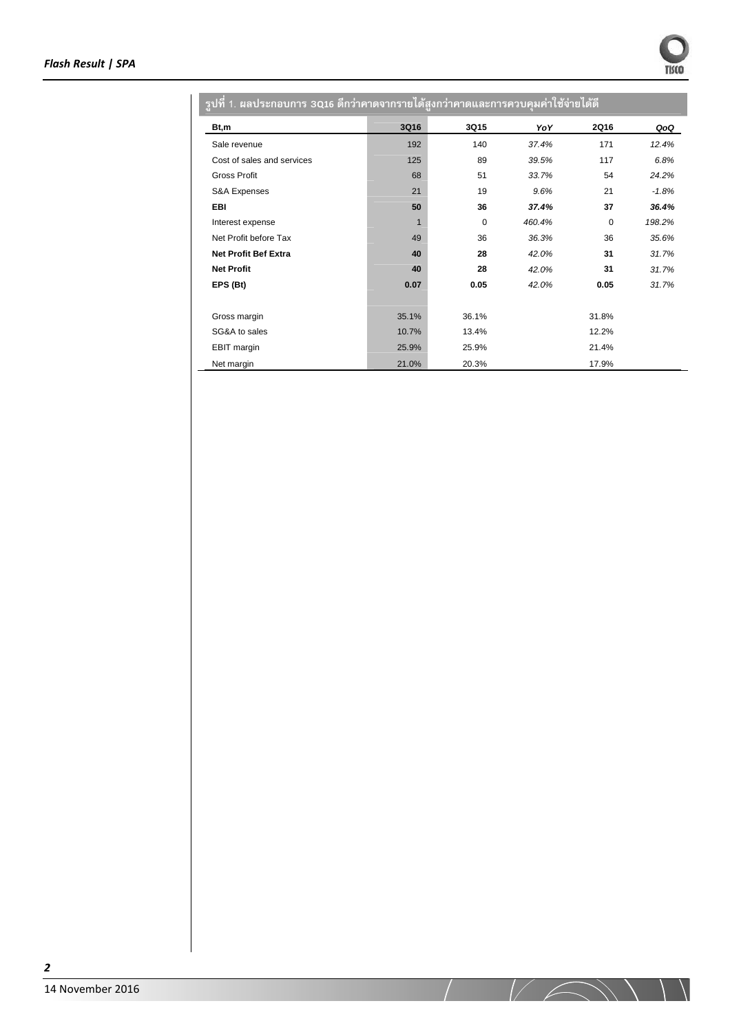Ì.

| ้รูปที่ 1. ผลประกอบการ 3016 ดีกว่าคาดจากรายได้สูงกว่าคาดและกา <u>รควบคุมค่าใช้จ่ายได้ดี</u> |       |             |        |             |         |
|---------------------------------------------------------------------------------------------|-------|-------------|--------|-------------|---------|
| Bt,m                                                                                        | 3Q16  | 3Q15        | YoY    | <b>2Q16</b> | QoQ     |
| Sale revenue                                                                                | 192   | 140         | 37.4%  | 171         | 12.4%   |
| Cost of sales and services                                                                  | 125   | 89          | 39.5%  | 117         | 6.8%    |
| <b>Gross Profit</b>                                                                         | 68    | 51          | 33.7%  | 54          | 24.2%   |
| S&A Expenses                                                                                | 21    | 19          | 9.6%   | 21          | $-1.8%$ |
| EBI                                                                                         | 50    | 36          | 37.4%  | 37          | 36.4%   |
| Interest expense                                                                            | 1     | $\mathbf 0$ | 460.4% | 0           | 198.2%  |
| Net Profit before Tax                                                                       | 49    | 36          | 36.3%  | 36          | 35.6%   |
| <b>Net Profit Bef Extra</b>                                                                 | 40    | 28          | 42.0%  | 31          | 31.7%   |
| <b>Net Profit</b>                                                                           | 40    | 28          | 42.0%  | 31          | 31.7%   |
| EPS (Bt)                                                                                    | 0.07  | 0.05        | 42.0%  | 0.05        | 31.7%   |
|                                                                                             |       |             |        |             |         |
| Gross margin                                                                                | 35.1% | 36.1%       |        | 31.8%       |         |
| SG&A to sales                                                                               | 10.7% | 13.4%       |        | 12.2%       |         |
| <b>EBIT</b> margin                                                                          | 25.9% | 25.9%       |        | 21.4%       |         |
| Net margin                                                                                  | 21.0% | 20.3%       |        | 17.9%       |         |